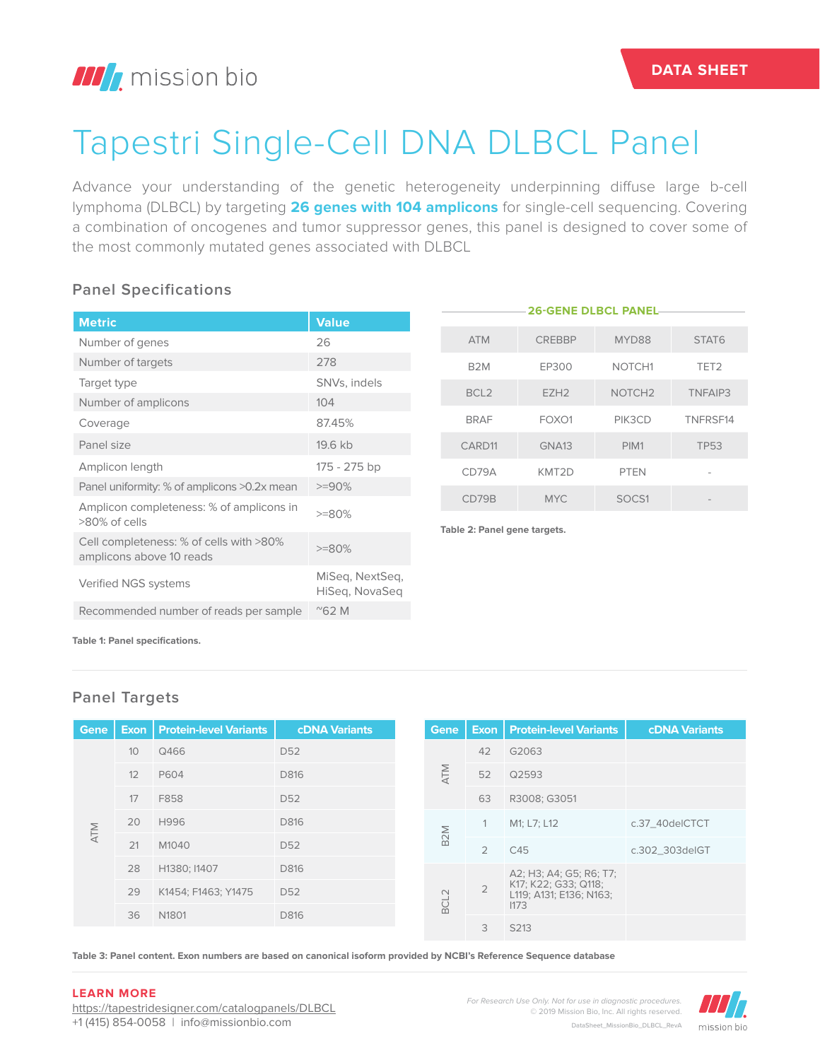# Tapestri Single-Cell DNA DLBCL Panel

Advance your understanding of the genetic heterogeneity underpinning diffuse large b-cell lymphoma (DLBCL) by targeting **26 genes with 104 amplicons** for single-cell sequencing. Covering a combination of oncogenes and tumor suppressor genes, this panel is designed to cover some of the most commonly mutated genes associated with DLBCL

## **Panel Specifications**

|                                                                     |                                   |                              |                    | <b>26-GENE DLBCL PANEL-</b> |                    |                  |
|---------------------------------------------------------------------|-----------------------------------|------------------------------|--------------------|-----------------------------|--------------------|------------------|
| <b>Metric</b>                                                       | <b>Value</b>                      |                              |                    |                             |                    |                  |
| Number of genes                                                     | 26                                |                              | <b>ATM</b>         | <b>CREBBP</b>               | MYD88              | STAT6            |
| Number of targets                                                   | 278                               |                              | B <sub>2</sub> M   | EP300                       | NOTCH <sub>1</sub> | TET <sub>2</sub> |
| Target type                                                         | SNVs, indels                      |                              | BCL <sub>2</sub>   | EZH <sub>2</sub>            | NOTCH <sub>2</sub> | TNFAIP3          |
| Number of amplicons                                                 | 104                               |                              |                    |                             |                    |                  |
| Coverage                                                            | 87.45%                            |                              | <b>BRAF</b>        | FOXO1                       | PIK3CD             | TNFRSF14         |
| Panel size                                                          | 19.6 kb                           |                              | CARD <sub>11</sub> | GNA <sub>13</sub>           | PIM1               | <b>TP53</b>      |
| Amplicon length                                                     | 175 - 275 bp                      |                              | CD79A              | KMT2D                       | <b>PTEN</b>        |                  |
| Panel uniformity: % of amplicons >0.2x mean                         | $>=90%$                           |                              |                    |                             |                    |                  |
| Amplicon completeness: % of amplicons in                            |                                   |                              | CD79B              | <b>MYC</b>                  | SOCS1              |                  |
| >80% of cells                                                       | $>=80%$                           |                              |                    |                             |                    |                  |
| Cell completeness: % of cells with >80%<br>amplicons above 10 reads | $>=80%$                           | Table 2: Panel gene targets. |                    |                             |                    |                  |
| Verified NGS systems                                                | MiSeg, NextSeg,<br>HiSeg, NovaSeg |                              |                    |                             |                    |                  |
| Recommended number of reads per sample                              | $^{\prime\prime}$ 62 M            |                              |                    |                             |                    |                  |

**Table 1: Panel specifications.**

### **Panel Targets**

| <b>Gene</b> |    | <b>Exon   Protein-level Variants</b> | <b>cDNA Variants</b> |  | Gene             |                | <b>Exon   Protein-level Variants</b> | <b>cDNA Variants</b>                            |  |
|-------------|----|--------------------------------------|----------------------|--|------------------|----------------|--------------------------------------|-------------------------------------------------|--|
|             | 10 | Q466                                 | D <sub>52</sub>      |  |                  | 42             | G2063                                |                                                 |  |
|             | 12 | P604                                 | D816                 |  | NTM              | 52             | Q2593                                |                                                 |  |
|             | 17 | F858                                 | D <sub>52</sub>      |  |                  | 63             | R3008; G3051                         |                                                 |  |
| <b>ATM</b>  | 20 | H996                                 | D816                 |  |                  |                | M1; L7; L12                          | c.37_40delCTCT                                  |  |
|             | 21 | M1040                                | D <sub>52</sub>      |  | B <sub>2</sub> M | $\overline{2}$ | C45                                  | c.302_303delGT                                  |  |
|             | 28 | H1380; I1407                         | D816                 |  | $\sim$<br>BCL    |                | A2; H3; A4; G5; R6; T7;              |                                                 |  |
|             | 29 | K1454; F1463; Y1475                  | D <sub>52</sub>      |  |                  |                | $\overline{2}$                       | K17; K22; G33; Q118;<br>L119; A131; E136; N163; |  |
|             | 36 | N <sub>1801</sub>                    | D816                 |  |                  |                | 1173                                 |                                                 |  |
|             |    |                                      |                      |  |                  | 3              | S213                                 |                                                 |  |

**Table 3: Panel content. Exon numbers are based on canonical isoform provided by NCBI's Reference Sequence database**

#### **LEARN MORE**

https://tapestridesigner.com/catalogpanels/DLBCL +1 (415) 854-0058 | info@missionbio.com

*For Research Use Only. Not for use in diagnostic procedures.* © 2019 Mission Bio, Inc. All rights reserved. DataSheet\_MissionBio\_DLBCL\_RevA

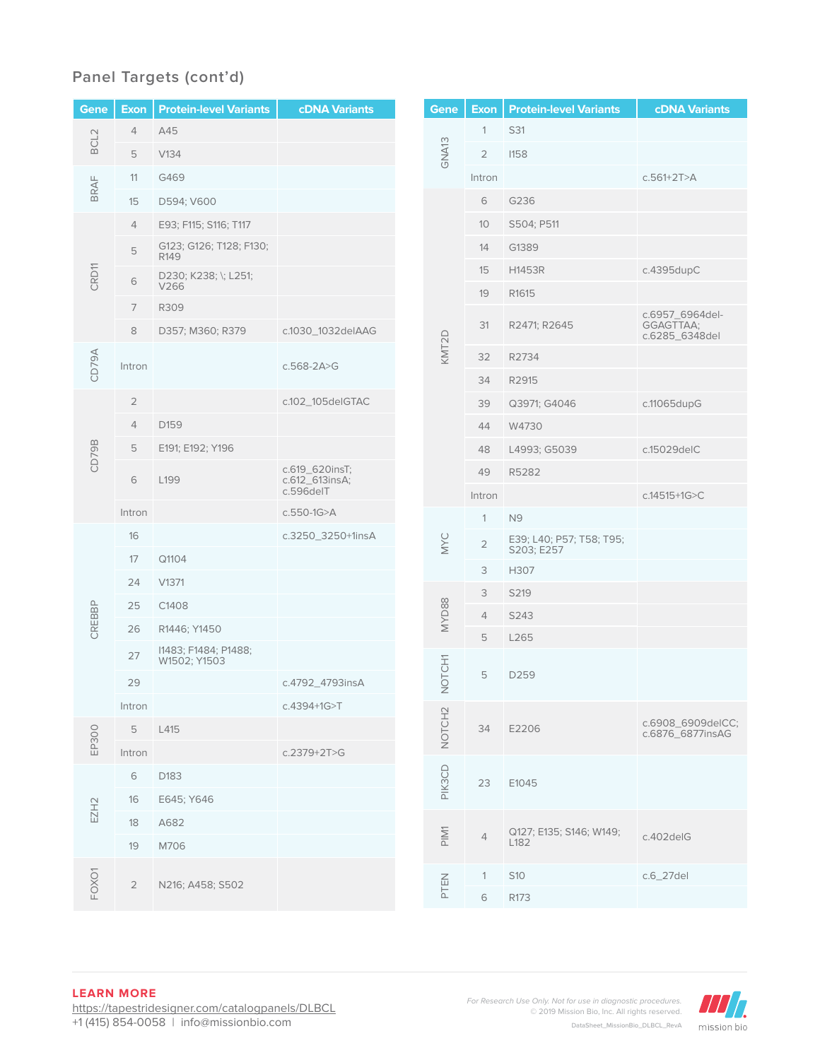## **Panel Targets (cont'd)**

| Gene             | <b>Exon</b>    | <b>Protein-level Variants</b>               | <b>cDNA Variants</b>                          |  |
|------------------|----------------|---------------------------------------------|-----------------------------------------------|--|
| BCL <sub>2</sub> | 4              | A45                                         |                                               |  |
|                  | 5              | V134                                        |                                               |  |
| BRAF             | 11             | G469                                        |                                               |  |
|                  | 15             | D594; V600                                  |                                               |  |
|                  | 4              | E93; F115; S116; T117                       |                                               |  |
|                  | 5              | G123; G126; T128; F130;<br>R <sub>149</sub> |                                               |  |
| CRD11            | 6              | D230; K238; \; L251;<br>V266                |                                               |  |
|                  | 7              | R309                                        |                                               |  |
|                  | 8              | D357; M360; R379                            | c.1030_1032delAAG                             |  |
| CD79A            | Intron         |                                             | $c.568 - 2A > G$                              |  |
|                  | 2              |                                             | c.102_105delGTAC                              |  |
|                  | 4              | D159                                        |                                               |  |
| CD79B            | 5              | E191; E192; Y196                            |                                               |  |
|                  | 6              | L199                                        | c.619_620insT;<br>c.612_613insA;<br>c.596delT |  |
|                  | Intron         |                                             | c.550-1G>A                                    |  |
|                  | 16             |                                             | c.3250_3250+1insA                             |  |
|                  | 17             | Q1104                                       |                                               |  |
|                  | 24             | V1371                                       |                                               |  |
|                  | 25             | C1408                                       |                                               |  |
| CREBBP           | 26             | R1446; Y1450                                |                                               |  |
|                  | 27             | I1483; F1484; P1488;<br>W1502; Y1503        |                                               |  |
|                  | 29             |                                             | c.4792_4793insA                               |  |
|                  | Intron         |                                             | c.4394+1G>T                                   |  |
| EP300            | 5              | L415                                        |                                               |  |
|                  | Intron         |                                             | $c.2379 + 2T > G$                             |  |
| EZH <sub>2</sub> | 6              | D183                                        |                                               |  |
|                  | 16             | E645; Y646                                  |                                               |  |
|                  | 18             | A682                                        |                                               |  |
|                  | 19             | M706                                        |                                               |  |
| FOXO1            | $\overline{2}$ | N216; A458; S502                            |                                               |  |

| Gene              | Exon           | <b>Protein-level Variants</b>          | <b>cDNA Variants</b>                           |
|-------------------|----------------|----------------------------------------|------------------------------------------------|
|                   | 1              | S31                                    |                                                |
| GNA <sub>13</sub> | 2              | <b>I158</b>                            |                                                |
|                   | Intron         |                                        | $c.561 + 2T > A$                               |
|                   | 6              | G236                                   |                                                |
|                   | 10             | S504; P511                             |                                                |
|                   | 14             | G1389                                  |                                                |
|                   | 15             | H1453R                                 | c.4395dupC                                     |
|                   | 19             | R1615                                  |                                                |
|                   | 31             | R2471; R2645                           | c.6957_6964del-<br>GGAGTTAA;<br>c.6285_6348del |
| KMT2D             | 32             | R2734                                  |                                                |
|                   | 34             | R2915                                  |                                                |
|                   | 39             | Q3971; G4046                           | c.11065dupG                                    |
|                   | 44             | W4730                                  |                                                |
|                   | 48             | L4993; G5039                           | c.15029deIC                                    |
|                   | 49             | R5282                                  |                                                |
|                   | Intron         |                                        | c.14515+1G>C                                   |
|                   | 1              | N <sub>9</sub>                         |                                                |
| MYC               | $\overline{2}$ | E39; L40; P57; T58; T95;<br>S203; E257 |                                                |
|                   | 3              | H307                                   |                                                |
|                   | 3              | S219                                   |                                                |
| MYD88             | $\overline{4}$ | S243                                   |                                                |
|                   | 5              | L265                                   |                                                |
| NOTCH1            | 5              | D259                                   |                                                |
| PIK3CD NOTCH2     | 34             | E2206                                  | c.6908_6909delCC;<br>c.6876_6877insAG          |
|                   | 23             | E1045                                  |                                                |
| PIM <sub>1</sub>  | $\overline{4}$ | Q127; E135; S146; W149;<br>L182        | c.402delG                                      |
| PTEN              | 1              | S <sub>10</sub>                        | c.6_27del                                      |
|                   | 6              | R173                                   |                                                |
|                   |                |                                        |                                                |

#### **LEARN MORE**

https://tapestridesigner.com/catalogpanels/DLBCL +1 (415) 854-0058 | info@missionbio.com